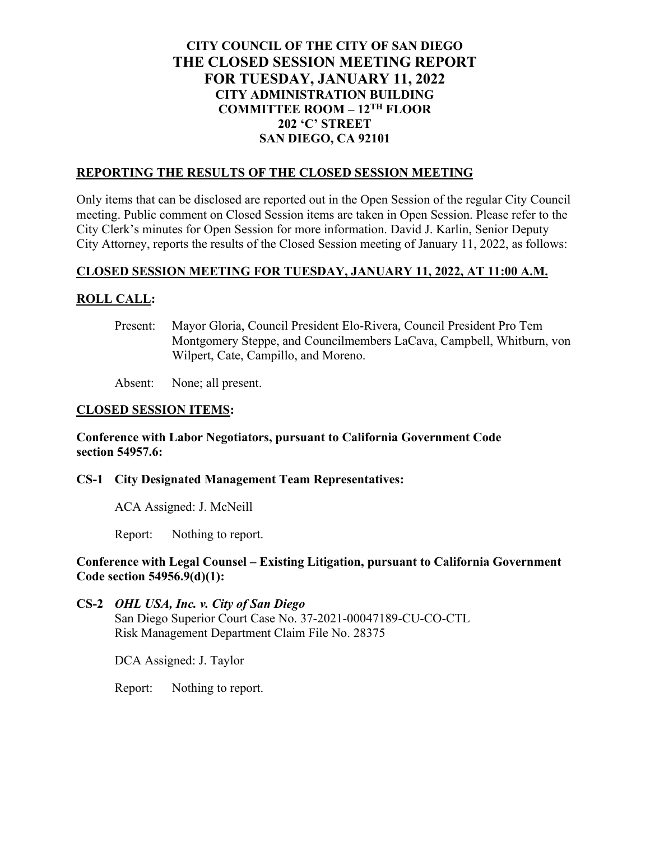# **CITY COUNCIL OF THE CITY OF SAN DIEGO THE CLOSED SESSION MEETING REPORT FOR TUESDAY, JANUARY 11, 2022 CITY ADMINISTRATION BUILDING COMMITTEE ROOM – 12TH FLOOR 202 'C' STREET SAN DIEGO, CA 92101**

### **REPORTING THE RESULTS OF THE CLOSED SESSION MEETING**

Only items that can be disclosed are reported out in the Open Session of the regular City Council meeting. Public comment on Closed Session items are taken in Open Session. Please refer to the City Clerk's minutes for Open Session for more information. David J. Karlin, Senior Deputy City Attorney, reports the results of the Closed Session meeting of January 11, 2022, as follows:

# **CLOSED SESSION MEETING FOR TUESDAY, JANUARY 11, 2022, AT 11:00 A.M.**

# **ROLL CALL:**

Present: Mayor Gloria, Council President Elo-Rivera, Council President Pro Tem Montgomery Steppe, and Councilmembers LaCava, Campbell, Whitburn, von Wilpert, Cate, Campillo, and Moreno.

Absent: None; all present.

#### **CLOSED SESSION ITEMS:**

### **Conference with Labor Negotiators, pursuant to California Government Code section 54957.6:**

# **CS-1 City Designated Management Team Representatives:**

ACA Assigned: J. McNeill

Report: Nothing to report.

### **Conference with Legal Counsel – Existing Litigation, pursuant to California Government Code section 54956.9(d)(1):**

**CS-2** *OHL USA, Inc. v. City of San Diego* San Diego Superior Court Case No. 37-2021-00047189-CU-CO-CTL Risk Management Department Claim File No. 28375

DCA Assigned: J. Taylor

Report: Nothing to report.